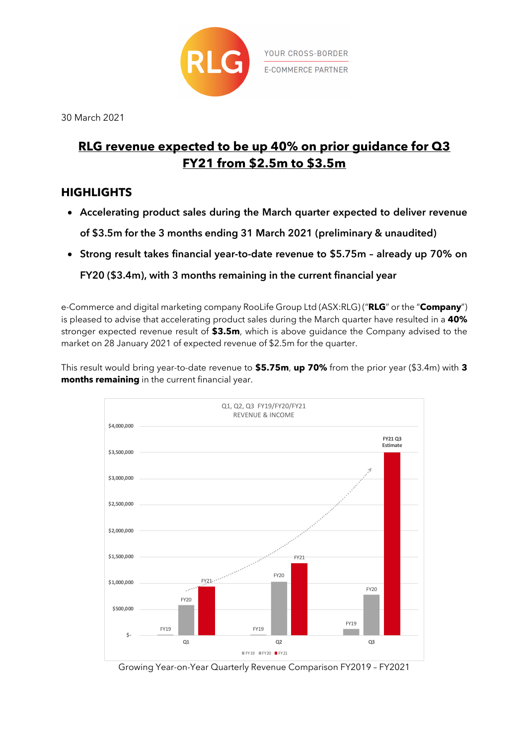

30 March 2021

# **RLG revenue expected to be up 40% on prior guidance for Q3 FY21 from \$2.5m to \$3.5m**

## **HIGHLIGHTS**

- **Accelerating product sales during the March quarter expected to deliver revenue of \$3.5m for the 3 months ending 31 March 2021 (preliminary & unaudited)**
- **Strong result takes financial year-to-date revenue to \$5.75m – already up 70% on FY20 (\$3.4m), with 3 months remaining in the current financial year**

e-Commerce and digital marketing company RooLife Group Ltd (ASX:RLG) ("**RLG**" or the "**Company**") is pleased to advise that accelerating product sales during the March quarter have resulted in a **40%** stronger expected revenue result of **\$3.5m**, which is above guidance the Company advised to the market on 28 January 2021 of expected revenue of \$2.5m for the quarter.

This result would bring year-to-date revenue to **\$5.75m**, **up 70%** from the prior year (\$3.4m) with **3 months remaining** in the current financial year.



Growing Year-on-Year Quarterly Revenue Comparison FY2019 – FY2021